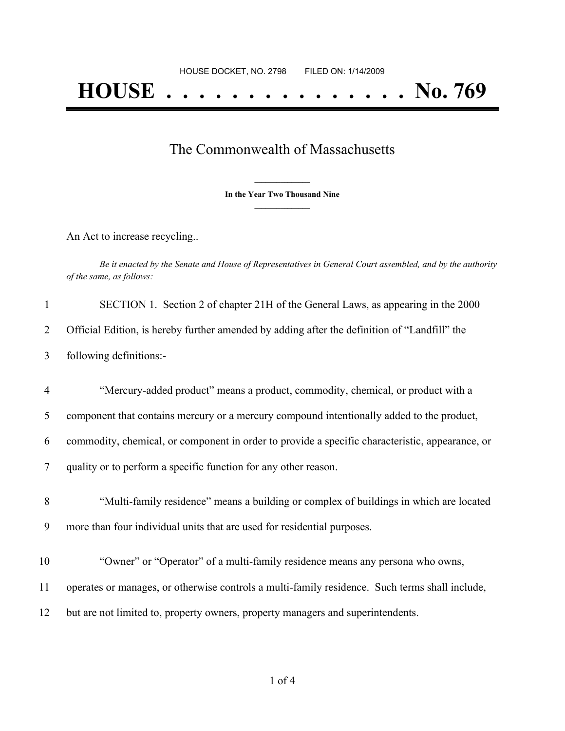## The Commonwealth of Massachusetts

**\_\_\_\_\_\_\_\_\_\_\_\_\_\_\_ In the Year Two Thousand Nine \_\_\_\_\_\_\_\_\_\_\_\_\_\_\_**

An Act to increase recycling..

Be it enacted by the Senate and House of Representatives in General Court assembled, and by the authority *of the same, as follows:*

| $\mathbf{1}$   | SECTION 1. Section 2 of chapter 21H of the General Laws, as appearing in the 2000               |
|----------------|-------------------------------------------------------------------------------------------------|
| 2              | Official Edition, is hereby further amended by adding after the definition of "Landfill" the    |
| 3              | following definitions:-                                                                         |
| $\overline{4}$ | "Mercury-added product" means a product, commodity, chemical, or product with a                 |
| 5              | component that contains mercury or a mercury compound intentionally added to the product,       |
| 6              | commodity, chemical, or component in order to provide a specific characteristic, appearance, or |
| $\overline{7}$ | quality or to perform a specific function for any other reason.                                 |
| 8              | "Multi-family residence" means a building or complex of buildings in which are located          |
| 9              | more than four individual units that are used for residential purposes.                         |
| 10             | "Owner" or "Operator" of a multi-family residence means any persona who owns,                   |
| 11             | operates or manages, or otherwise controls a multi-family residence. Such terms shall include,  |
| 12             | but are not limited to, property owners, property managers and superintendents.                 |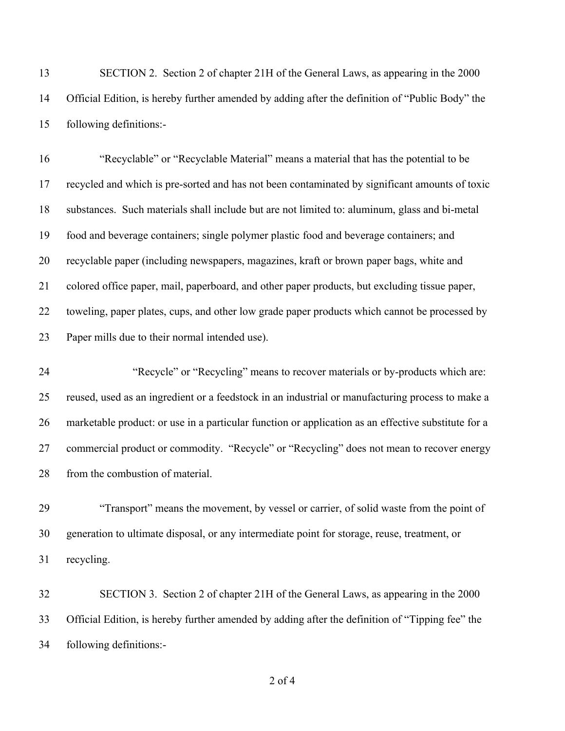SECTION 2. Section 2 of chapter 21H of the General Laws, as appearing in the 2000 Official Edition, is hereby further amended by adding after the definition of "Public Body" the following definitions:-

 "Recyclable" or "Recyclable Material" means a material that has the potential to be recycled and which is pre-sorted and has not been contaminated by significant amounts of toxic substances. Such materials shall include but are not limited to: aluminum, glass and bi-metal food and beverage containers; single polymer plastic food and beverage containers; and recyclable paper (including newspapers, magazines, kraft or brown paper bags, white and colored office paper, mail, paperboard, and other paper products, but excluding tissue paper, toweling, paper plates, cups, and other low grade paper products which cannot be processed by Paper mills due to their normal intended use).

 "Recycle" or "Recycling" means to recover materials or by-products which are: reused, used as an ingredient or a feedstock in an industrial or manufacturing process to make a marketable product: or use in a particular function or application as an effective substitute for a commercial product or commodity. "Recycle" or "Recycling" does not mean to recover energy 28 from the combustion of material.

 "Transport" means the movement, by vessel or carrier, of solid waste from the point of generation to ultimate disposal, or any intermediate point for storage, reuse, treatment, or recycling.

 SECTION 3. Section 2 of chapter 21H of the General Laws, as appearing in the 2000 Official Edition, is hereby further amended by adding after the definition of "Tipping fee" the following definitions:-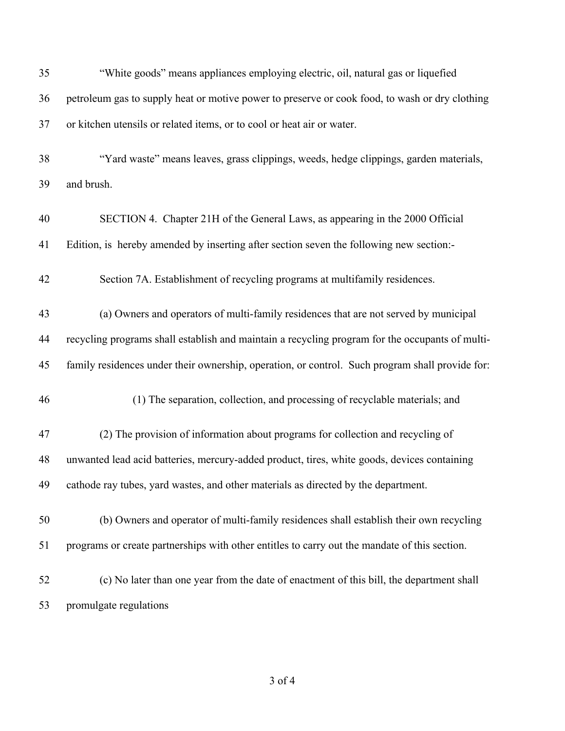| 35 | "White goods" means appliances employing electric, oil, natural gas or liquefied                |
|----|-------------------------------------------------------------------------------------------------|
| 36 | petroleum gas to supply heat or motive power to preserve or cook food, to wash or dry clothing  |
| 37 | or kitchen utensils or related items, or to cool or heat air or water.                          |
| 38 | "Yard waste" means leaves, grass clippings, weeds, hedge clippings, garden materials,           |
| 39 | and brush.                                                                                      |
| 40 | SECTION 4. Chapter 21H of the General Laws, as appearing in the 2000 Official                   |
| 41 | Edition, is hereby amended by inserting after section seven the following new section:-         |
| 42 | Section 7A. Establishment of recycling programs at multifamily residences.                      |
| 43 | (a) Owners and operators of multi-family residences that are not served by municipal            |
| 44 | recycling programs shall establish and maintain a recycling program for the occupants of multi- |
| 45 | family residences under their ownership, operation, or control. Such program shall provide for: |
| 46 | (1) The separation, collection, and processing of recyclable materials; and                     |
| 47 | (2) The provision of information about programs for collection and recycling of                 |
| 48 | unwanted lead acid batteries, mercury-added product, tires, white goods, devices containing     |
| 49 | cathode ray tubes, yard wastes, and other materials as directed by the department.              |
| 50 | (b) Owners and operator of multi-family residences shall establish their own recycling          |
| 51 | programs or create partnerships with other entitles to carry out the mandate of this section.   |
| 52 | (c) No later than one year from the date of enactment of this bill, the department shall        |
| 53 | promulgate regulations                                                                          |